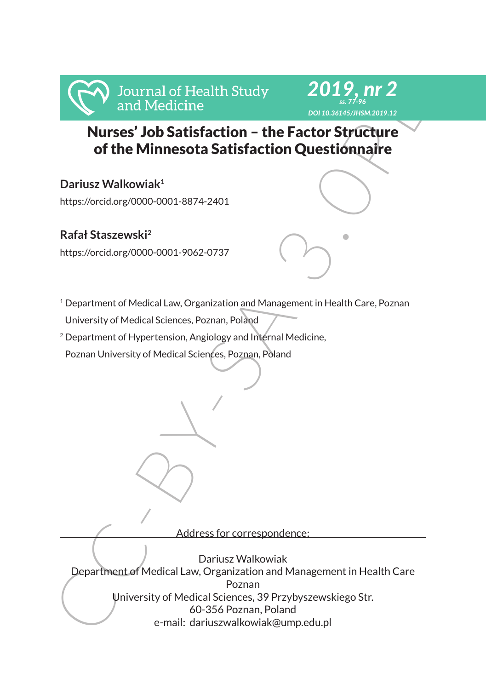

#### *2019, nr 2 ss. 77-96 DOI 10.36145/JHSM.2019.12*

# Nurses' Job Satisfaction – the Factor Structure of the Minnesota Satisfaction Questionnaire

# **Dariusz Walkowiak1**

https://orcid.org/0000-0001-8874-2401

## **Rafał Staszewski<sup>2</sup>**

https://orcid.org/0000-0001-9062-0737



<sup>2</sup> Department of Hypertension, Angiology and Internal Medicine,

Poznan University of Medical Sciences, Poznan, Poland

Address for correspondence:

From Mureses' Job Satisfaction - the Factor Stytucture<br>
Murses' Job Satisfaction - the Factor Stytucture<br>
of the Minnesota Satisfaction Questionnaire<br>
Dariusz Walkowiak<sup>1</sup><br>
https://orcidorg/0000-0001-8874-2401<br>
Rafal Stasz Dariusz Walkowiak Department of Medical Law, Organization and Management in Health Care Poznan University of Medical Sciences, 39 Przybyszewskiego Str. 60-356 Poznan, Poland e-mail: dariuszwalkowiak@ump.edu.pl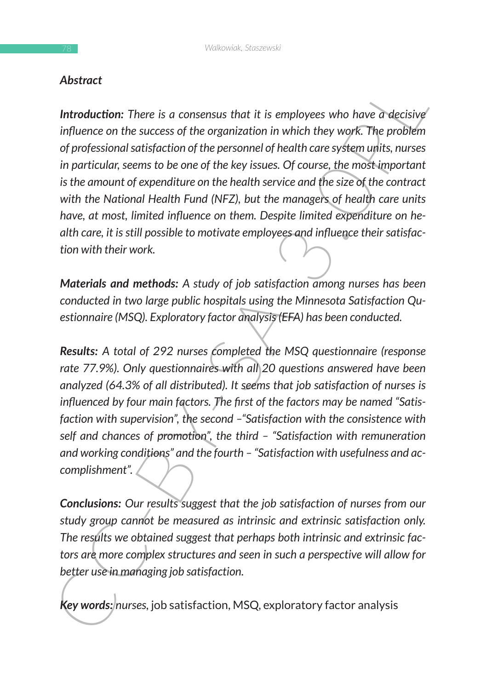### *Abstract*

**Altionality**<br> **Consistence**<br> **Consistence**<br> **Consistence**<br> **Consistence**<br> **Consistence**<br> **Consistence**<br> **Consistence**<br> **Consistence**<br> **Consistence**<br> **Consistence**<br> **Consistence**<br> **Consistence**<br> **Consistence**<br> **Consistenc Introduction:** There is a consensus that it is employees who have a decisive *influence on the success of the organization in which they work. The problem of professional satisfaction of the personnel of health care system units, nurses in particular, seems to be one of the key issues. Of course, the most important is the amount of expenditure on the health service and the size of the contract with the National Health Fund (NFZ), but the managers of health care units have, at most, limited influence on them. Despite limited expenditure on health care, it is still possible to motivate employees and influence their satisfaction with their work.*

*Materials and methods: A study of job satisfaction among nurses has been conducted in two large public hospitals using the Minnesota Satisfaction Questionnaire (MSQ). Exploratory factor analysis (EFA) has been conducted.*

*Results: A total of 292 nurses completed the MSQ questionnaire (response rate 77.9%). Only questionnaires with all 20 questions answered have been analyzed (64.3% of all distributed). It seems that job satisfaction of nurses is influenced by four main factors. The first of the factors may be named "Satisfaction with supervision", the second –"Satisfaction with the consistence with self and chances of promotion", the third – "Satisfaction with remuneration and working conditions" and the fourth – "Satisfaction with usefulness and accomplishment".*

*Conclusions: Our results suggest that the job satisfaction of nurses from our study group cannot be measured as intrinsic and extrinsic satisfaction only. The results we obtained suggest that perhaps both intrinsic and extrinsic factors are more complex structures and seen in such a perspective will allow for better use in managing job satisfaction.*

*Key words: nurses,* job satisfaction, MSQ, exploratory factor analysis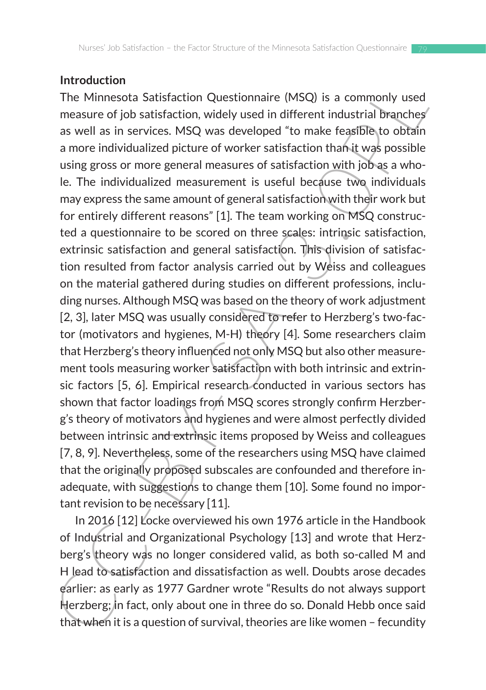#### **Introduction**

Introduction<br>IThe Minnesota Satisfaction Questionnaire (MSQ) is a commonly used<br>measure of job satisfaction, widely used in different industrial branches<br>as well as in services. MSQ was developed "to make feasible to both The Minnesota Satisfaction Questionnaire (MSQ) is a commonly used measure of job satisfaction, widely used in different industrial branches as well as in services. MSQ was developed "to make feasible to obtain a more individualized picture of worker satisfaction than it was possible using gross or more general measures of satisfaction with job as a whole. The individualized measurement is useful because two individuals may express the same amount of general satisfaction with their work but for entirely different reasons" [1]. The team working on MSQ constructed a questionnaire to be scored on three scales: intrinsic satisfaction, extrinsic satisfaction and general satisfaction. This division of satisfaction resulted from factor analysis carried out by Weiss and colleagues on the material gathered during studies on different professions, including nurses. Although MSQ was based on the theory of work adjustment [2, 3], later MSQ was usually considered to refer to Herzberg's two-factor (motivators and hygienes, M-H) theory [4]. Some researchers claim that Herzberg's theory influenced not only MSQ but also other measurement tools measuring worker satisfaction with both intrinsic and extrinsic factors [5, 6]. Empirical research conducted in various sectors has shown that factor loadings from MSQ scores strongly confirm Herzberg's theory of motivators and hygienes and were almost perfectly divided between intrinsic and extrinsic items proposed by Weiss and colleagues [7, 8, 9]. Nevertheless, some of the researchers using MSQ have claimed that the originally proposed subscales are confounded and therefore inadequate, with suggestions to change them [10]. Some found no important revision to be necessary [11].

In 2016 [12] Locke overviewed his own 1976 article in the Handbook of Industrial and Organizational Psychology [13] and wrote that Herzberg's theory was no longer considered valid, as both so-called M and H lead to satisfaction and dissatisfaction as well. Doubts arose decades earlier: as early as 1977 Gardner wrote "Results do not always support Herzberg; in fact, only about one in three do so. Donald Hebb once said that when it is a question of survival, theories are like women – fecundity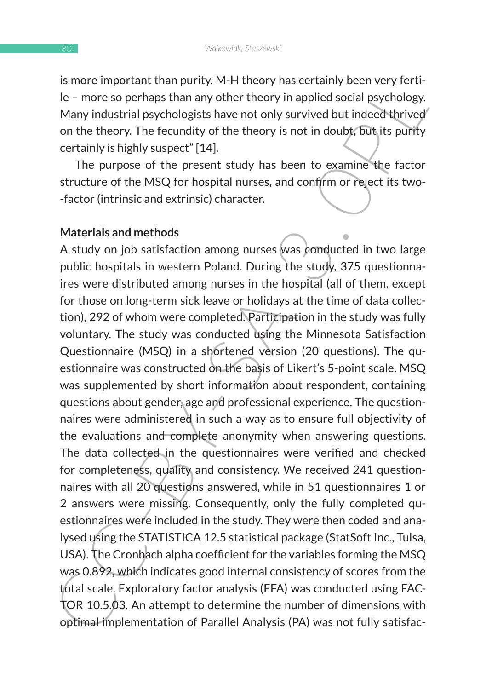is more important than purity. M-H theory has certainly been very fertile – more so perhaps than any other theory in applied social psychology. Many industrial psychologists have not only survived but indeed thrived on the theory. The fecundity of the theory is not in doubt, but its purity certainly is highly suspect" [14].

The purpose of the present study has been to examine the factor structure of the MSQ for hospital nurses, and confirm or reject its two- -factor (intrinsic and extrinsic) character.

#### **Materials and methods**

Is more impuriant unin puring, were trained with the trained ween twister the theory in applied social psychology.<br>
He – more so perhaps than any other theory in applied social psychology.<br>
Many industrial psychologists ha A study on job satisfaction among nurses was conducted in two large public hospitals in western Poland. During the study, 375 questionnaires were distributed among nurses in the hospital (all of them, except for those on long-term sick leave or holidays at the time of data collection), 292 of whom were completed. Participation in the study was fully voluntary. The study was conducted using the Minnesota Satisfaction Questionnaire (MSQ) in a shortened version (20 questions). The questionnaire was constructed on the basis of Likert's 5-point scale. MSQ was supplemented by short information about respondent, containing questions about gender, age and professional experience. The questionnaires were administered in such a way as to ensure full objectivity of the evaluations and complete anonymity when answering questions. The data collected in the questionnaires were verified and checked for completeness, quality and consistency. We received 241 questionnaires with all 20 questions answered, while in 51 questionnaires 1 or 2 answers were missing. Consequently, only the fully completed questionnaires were included in the study. They were then coded and analysed using the STATISTICA 12.5 statistical package (StatSoft Inc., Tulsa, USA). The Cronbach alpha coefficient for the variables forming the MSQ was 0.892, which indicates good internal consistency of scores from the total scale. Exploratory factor analysis (EFA) was conducted using FAC-TOR 10.5.03. An attempt to determine the number of dimensions with optimal implementation of Parallel Analysis (PA) was not fully satisfac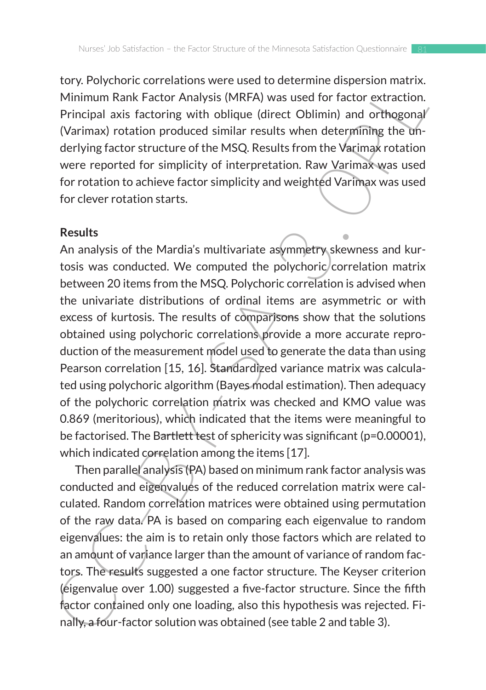tory. Polychoric correlations were used to determine dispersion matrix. Minimum Rank Factor Analysis (MRFA) was used for factor extraction. Principal axis factoring with oblique (direct Oblimin) and orthogonal (Varimax) rotation produced similar results when determining the underlying factor structure of the MSQ. Results from the Varimax rotation were reported for simplicity of interpretation. Raw Varimax was used for rotation to achieve factor simplicity and weighted Varimax was used for clever rotation starts.

#### **Results**

Lot in the state to determine using the state of the content and the state of the content of the real of the content of the Principal axis factoring with oblique (direct Oblimin) and orthogonal/<br>
(Varimay) rotation produce An analysis of the Mardia's multivariate asymmetry skewness and kurtosis was conducted. We computed the polychoric correlation matrix between 20 items from the MSQ. Polychoric correlation is advised when the univariate distributions of ordinal items are asymmetric or with excess of kurtosis. The results of comparisons show that the solutions obtained using polychoric correlations provide a more accurate reproduction of the measurement model used to generate the data than using Pearson correlation [15, 16]. Standardized variance matrix was calculated using polychoric algorithm (Bayes modal estimation). Then adequacy of the polychoric correlation matrix was checked and KMO value was 0.869 (meritorious), which indicated that the items were meaningful to be factorised. The Bartlett test of sphericity was significant (p=0.00001), which indicated correlation among the items [17].

Then parallel analysis (PA) based on minimum rank factor analysis was conducted and eigenvalues of the reduced correlation matrix were calculated. Random correlation matrices were obtained using permutation of the raw data. PA is based on comparing each eigenvalue to random eigenvalues: the aim is to retain only those factors which are related to an amount of variance larger than the amount of variance of random factors. The results suggested a one factor structure. The Keyser criterion (eigenvalue over 1.00) suggested a five-factor structure. Since the fifth factor contained only one loading, also this hypothesis was rejected. Finally, a four-factor solution was obtained (see table 2 and table 3).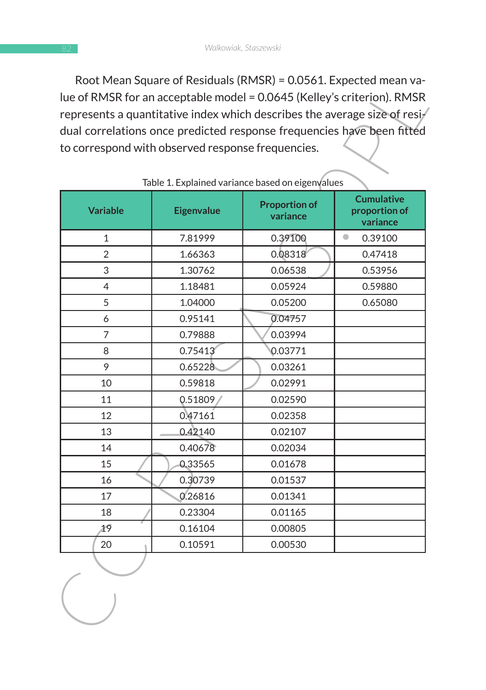Root Mean Square of Residuals (RMSR) = 0.0561. Expected mean value of RMSR for an acceptable model = 0.0645 (Kelley's criterion). RMSR represents a quantitative index which describes the average size of residual correlations once predicted response frequencies have been fitted to correspond with observed response frequencies.

|                 | to correspond with observed response frequencies. | Table 1. Explained variance based on eigenvalues |                                                |
|-----------------|---------------------------------------------------|--------------------------------------------------|------------------------------------------------|
| <b>Variable</b> | <b>Eigenvalue</b>                                 | <b>Proportion of</b><br>variance                 | <b>Cumulative</b><br>proportion of<br>variance |
| 1               | 7.81999                                           | 0.39100                                          | $\bullet$<br>0.39100                           |
| $\overline{2}$  | 1.66363                                           | 0.08318                                          | 0.47418                                        |
| 3               | 1.30762                                           | 0.06538                                          | 0.53956                                        |
| 4               | 1.18481                                           | 0.05924                                          | 0.59880                                        |
| 5               | 1.04000                                           | 0.05200                                          | 0.65080                                        |
| 6               | 0.95141                                           | 0.04757                                          |                                                |
| 7               | 0.79888                                           | 0.03994                                          |                                                |
| 8               | 0.75413                                           | 0.03771                                          |                                                |
| 9               | 0.65228                                           | 0.03261                                          |                                                |
| 10              | 0.59818                                           | 0.02991                                          |                                                |
| 11              | 0.51809                                           | 0.02590                                          |                                                |
| 12              | 0.47161                                           | 0.02358                                          |                                                |
| 13              | 0.42140                                           | 0.02107                                          |                                                |
| 14              | 0.40678                                           | 0.02034                                          |                                                |
| 15              | 0.33565                                           | 0.01678                                          |                                                |
| 16              | 0.30739                                           | 0.01537                                          |                                                |
| 17              | 0.26816                                           | 0.01341                                          |                                                |
| 18              | 0.23304                                           | 0.01165                                          |                                                |
| 19              | 0.16104                                           | 0.00805                                          |                                                |
| 20              | 0.10591                                           | 0.00530                                          |                                                |
|                 |                                                   |                                                  |                                                |

#### Table 1. Explained variance based on eigenvalues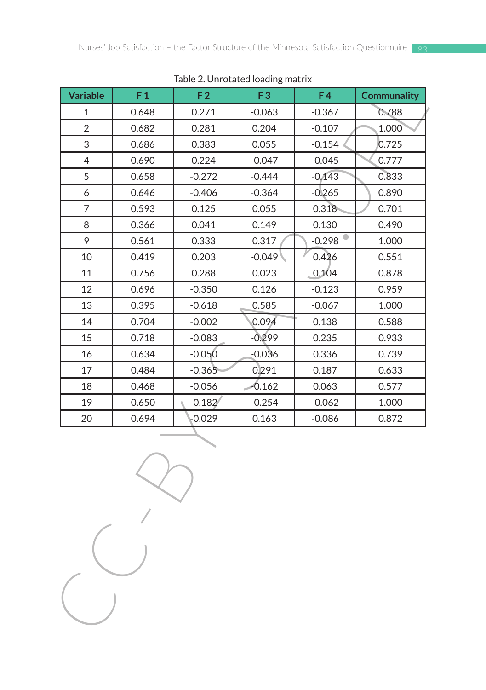| <b>Variable</b> | F <sub>1</sub> | F <sub>2</sub> | Table 2. Onliveated Ivadilig Inati IX<br>F <sub>3</sub> | F4       | <b>Communality</b> |
|-----------------|----------------|----------------|---------------------------------------------------------|----------|--------------------|
| 1               | 0.648          | 0.271          | $-0.063$                                                | $-0.367$ | 0.788              |
| $\overline{2}$  | 0.682          | 0.281          | 0.204                                                   | $-0.107$ | 1.000              |
| 3               | 0.686          | 0.383          | 0.055                                                   | $-0.154$ | 0.725              |
| $\overline{4}$  | 0.690          | 0.224          | $-0.047$                                                | $-0.045$ | 0.777              |
| 5               | 0.658          | $-0.272$       | $-0.444$                                                | $-0,143$ | 0.833              |
| 6               | 0.646          | $-0.406$       | $-0.364$                                                | $-0.265$ | 0.890              |
| 7               | 0.593          | 0.125          | 0.055                                                   | 0.318    | 0.701              |
| 8               | 0.366          | 0.041          | 0.149                                                   | 0.130    | 0.490              |
| 9               | 0.561          | 0.333          | 0.317                                                   | $-0.298$ | 1.000              |
| 10              | 0.419          | 0.203          | $-0.049$                                                | 0.426    | 0.551              |
| 11              | 0.756          | 0.288          | 0.023                                                   | 0.104    | 0.878              |
| 12              | 0.696          | $-0.350$       | 0.126                                                   | $-0.123$ | 0.959              |
| 13              | 0.395          | $-0.618$       | 0.585                                                   | $-0.067$ | 1.000              |
| 14              | 0.704          | $-0.002$       | 0.094                                                   | 0.138    | 0.588              |
| 15              | 0.718          | $-0.083$       | $-0.299$                                                | 0.235    | 0.933              |
| 16              | 0.634          | $-0.050$       | $-0.036$                                                | 0.336    | 0.739              |
| 17              | 0.484          | $-0.365$       | 0.291                                                   | 0.187    | 0.633              |
| 18              | 0.468          | $-0.056$       | $-0.162$                                                | 0.063    | 0.577              |
| 19              | 0.650          | $-0.182$       | $-0.254$                                                | $-0.062$ | 1.000              |
| 20              | 0.694          | 0.029          | 0.163                                                   | $-0.086$ | 0.872              |
|                 |                |                |                                                         |          |                    |
|                 |                |                |                                                         |          |                    |

#### Table 2. Unrotated loading matrix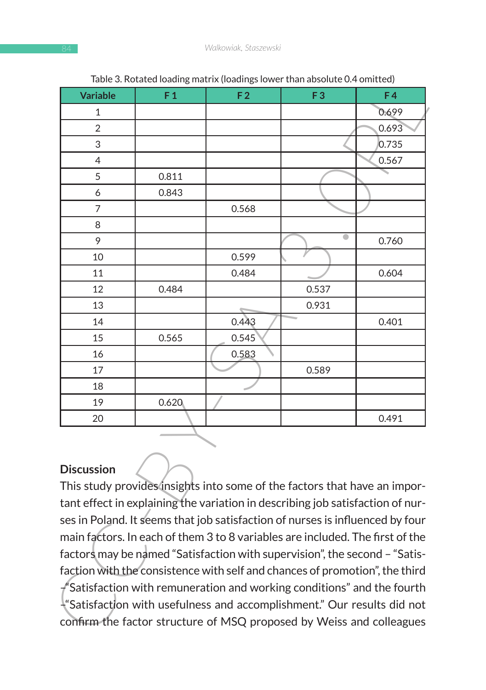| <b>Variable</b>                                                                | F <sub>1</sub> | rable 5. Notated ioadilig matrix (ioadiligs lower than absolute 0.4 omnited)<br>F <sub>2</sub> | F <sub>3</sub> | F4    |
|--------------------------------------------------------------------------------|----------------|------------------------------------------------------------------------------------------------|----------------|-------|
| 1                                                                              |                |                                                                                                |                | 0.699 |
| 2                                                                              |                |                                                                                                |                | 0.693 |
| 3                                                                              |                |                                                                                                |                | 0.735 |
| 4                                                                              |                |                                                                                                |                | 0.567 |
| 5                                                                              | 0.811          |                                                                                                |                |       |
| 6                                                                              | 0.843          |                                                                                                |                |       |
| 7                                                                              |                | 0.568                                                                                          |                |       |
| 8                                                                              |                |                                                                                                |                |       |
| 9                                                                              |                |                                                                                                | $\bullet$      | 0.760 |
| 10                                                                             |                | 0.599                                                                                          |                |       |
| 11                                                                             |                | 0.484                                                                                          |                | 0.604 |
| 12                                                                             | 0.484          |                                                                                                | 0.537          |       |
| 13                                                                             |                |                                                                                                | 0.931          |       |
| 14                                                                             |                | 0.443                                                                                          |                | 0.401 |
| 15                                                                             | 0.565          | 0.545                                                                                          |                |       |
| 16                                                                             |                | 0.583                                                                                          |                |       |
| 17                                                                             |                |                                                                                                | 0.589          |       |
| 18                                                                             |                |                                                                                                |                |       |
| 19                                                                             | 0.620          |                                                                                                |                |       |
| 20                                                                             |                |                                                                                                |                | 0.491 |
| <b>Discussion</b>                                                              |                |                                                                                                |                |       |
| tant effect in explaining the variation in describing job satisfaction of nur- |                | This study provides insights into some of the factors that have an impor-                      |                |       |
|                                                                                |                | ses in Poland. It seems that job satisfaction of nurses is influenced by four                  |                |       |
|                                                                                |                | main factors. In each of them 3 to 8 variables are included. The first of the                  |                |       |
| factors may be named "Satisfaction with supervision", the second - "Satis-     |                |                                                                                                |                |       |
|                                                                                |                | faction with the consistence with self and chances of promotion", the third                    |                |       |
|                                                                                |                | $\emph{f}'$ Satisfaction with remuneration and working conditions" and the fourth              |                |       |
|                                                                                |                | $\frac{1}{2}$ Satisfaction with usefulness and accomplishment." Our results did not            |                |       |
|                                                                                |                | confirm the factor structure of MSQ proposed by Weiss and colleagues                           |                |       |
|                                                                                |                |                                                                                                |                |       |

Table 3. Rotated loading matrix (loadings lower than absolute 0.4 omitted)

### **Discussion**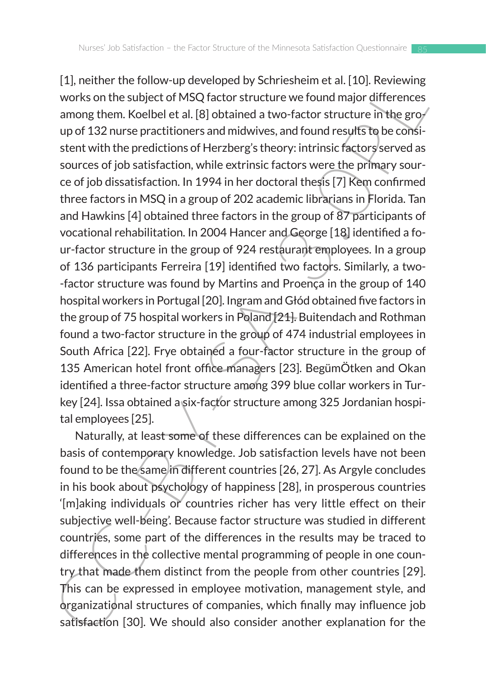F1, neture the conour-up towevispe or y sometsimmed at 1.10), reeverantly and<br>yorks on the subject of MSQ factor structure we found major differences<br>among them. Keelbel et al. [8] obtained a two-factor structure in the g [1], neither the follow-up developed by Schriesheim et al. [10]. Reviewing works on the subject of MSQ factor structure we found major differences among them. Koelbel et al. [8] obtained a two-factor structure in the group of 132 nurse practitioners and midwives, and found results to be consistent with the predictions of Herzberg's theory: intrinsic factors served as sources of job satisfaction, while extrinsic factors were the primary source of job dissatisfaction. In 1994 in her doctoral thesis [7] Kem confirmed three factors in MSQ in a group of 202 academic librarians in Florida. Tan and Hawkins [4] obtained three factors in the group of 87 participants of vocational rehabilitation. In 2004 Hancer and George [18] identified a four-factor structure in the group of 924 restaurant employees. In a group of 136 participants Ferreira [19] identified two factors. Similarly, a two- -factor structure was found by Martins and Proença in the group of 140 hospital workers in Portugal [20]. Ingram and Głód obtained five factors in the group of 75 hospital workers in Poland [21]. Buitendach and Rothman found a two-factor structure in the group of 474 industrial employees in South Africa [22]. Frye obtained a four-factor structure in the group of 135 American hotel front office managers [23]. BegümÖtken and Okan identified a three-factor structure among 399 blue collar workers in Turkey [24]. Issa obtained a six-factor structure among 325 Jordanian hospital employees [25].

Naturally, at least some of these differences can be explained on the basis of contemporary knowledge. Job satisfaction levels have not been found to be the same in different countries [26, 27]. As Argyle concludes in his book about psychology of happiness [28], in prosperous countries '[m]aking individuals or countries richer has very little effect on their subjective well-being'. Because factor structure was studied in different countries, some part of the differences in the results may be traced to differences in the collective mental programming of people in one country that made them distinct from the people from other countries [29]. This can be expressed in employee motivation, management style, and organizational structures of companies, which finally may influence job satisfaction [30]. We should also consider another explanation for the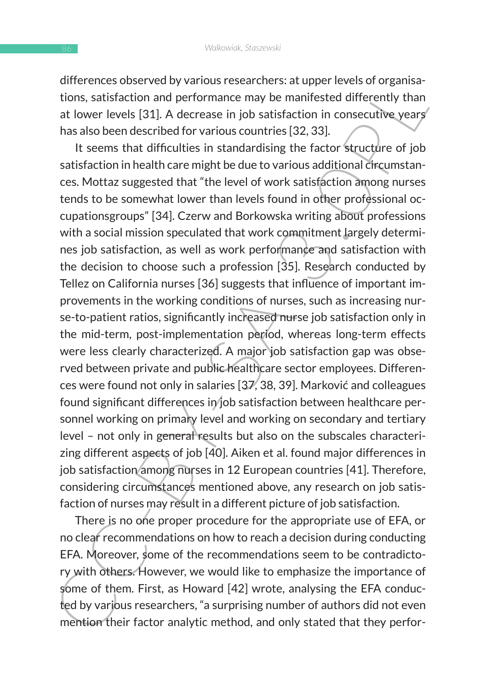differences observed by various researchers: at upper levels of organisations, satisfaction and performance may be manifested differently than at lower levels [31]. A decrease in job satisfaction in consecutive years has also been described for various countries [32, 33].

directions on the middle the conservation of the servers of organisations, satisfaction and performance may be manifested differently than at lower levels [31]. A decrease in job satisfaction in consecutive years'<br>has also It seems that difficulties in standardising the factor structure of job satisfaction in health care might be due to various additional circumstances. Mottaz suggested that "the level of work satisfaction among nurses tends to be somewhat lower than levels found in other professional occupationsgroups" [34]. Czerw and Borkowska writing about professions with a social mission speculated that work commitment largely determines job satisfaction, as well as work performance and satisfaction with the decision to choose such a profession [35]. Research conducted by Tellez on California nurses [36] suggests that influence of important improvements in the working conditions of nurses, such as increasing nurse-to-patient ratios, significantly increased nurse job satisfaction only in the mid-term, post-implementation period, whereas long-term effects were less clearly characterized. A major job satisfaction gap was observed between private and public healthcare sector employees. Differences were found not only in salaries [37, 38, 39]. Marković and colleagues found significant differences in job satisfaction between healthcare personnel working on primary level and working on secondary and tertiary level – not only in general results but also on the subscales characterizing different aspects of job [40]. Aiken et al. found major differences in job satisfaction among nurses in 12 European countries [41]. Therefore, considering circumstances mentioned above, any research on job satisfaction of nurses may result in a different picture of job satisfaction.

There is no one proper procedure for the appropriate use of EFA, or no clear recommendations on how to reach a decision during conducting EFA. Moreover, some of the recommendations seem to be contradictory with others. However, we would like to emphasize the importance of some of them. First, as Howard [42] wrote, analysing the EFA conducted by various researchers, "a surprising number of authors did not even mention their factor analytic method, and only stated that they perfor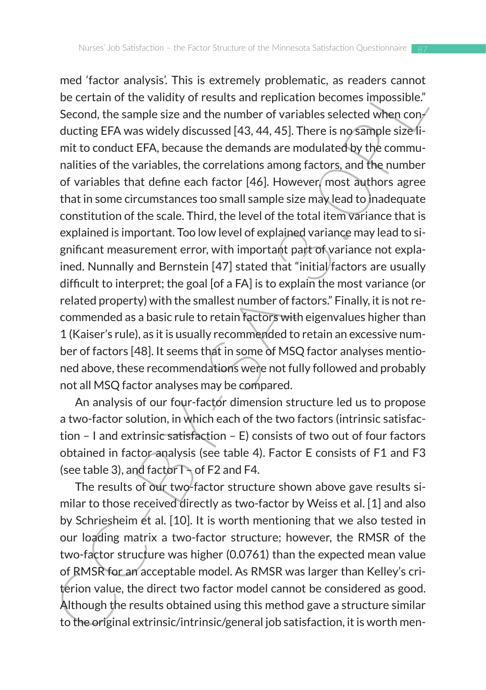neur action<br>and the validity of results and replication becomes impossible."<br>be certain of the validity of results and replication becomes impossible."<br>Second, the sample size and the number of variables selected when conmed 'factor analysis'. This is extremely problematic, as readers cannot be certain of the validity of results and replication becomes impossible." Second, the sample size and the number of variables selected when conducting EFA was widely discussed [43, 44, 45]. There is no sample size limit to conduct EFA, because the demands are modulated by the communalities of the variables, the correlations among factors, and the number of variables that define each factor [46]. However, most authors agree that in some circumstances too small sample size may lead to inadequate constitution of the scale. Third, the level of the total item variance that is explained is important. Too low level of explained variance may lead to significant measurement error, with important part of variance not explained. Nunnally and Bernstein [47] stated that "initial factors are usually difficult to interpret; the goal [of a FA] is to explain the most variance (or related property) with the smallest number of factors." Finally, it is not recommended as a basic rule to retain factors with eigenvalues higher than 1 (Kaiser's rule), as it is usually recommended to retain an excessive number of factors [48]. It seems that in some of MSQ factor analyses mentioned above, these recommendations were not fully followed and probably not all MSQ factor analyses may be compared.

An analysis of our four-factor dimension structure led us to propose a two-factor solution, in which each of the two factors (intrinsic satisfaction – I and extrinsic satisfaction – E) consists of two out of four factors obtained in factor analysis (see table 4). Factor E consists of F1 and F3 (see table 3), and factor  $\Gamma$  of F2 and F4.

The results of our two-factor structure shown above gave results similar to those received directly as two-factor by Weiss et al. [1] and also by Schriesheim et al. [10]. It is worth mentioning that we also tested in our loading matrix a two-factor structure; however, the RMSR of the two-factor structure was higher (0.0761) than the expected mean value of RMSR for an acceptable model. As RMSR was larger than Kelley's criterion value, the direct two factor model cannot be considered as good. Although the results obtained using this method gave a structure similar to the original extrinsic/intrinsic/general job satisfaction, it is worth men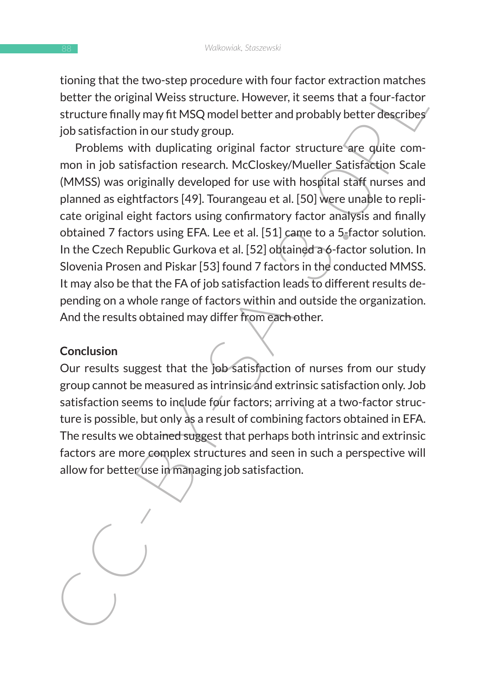tioning that the two-step procedure with four factor extraction matches better the original Weiss structure. However, it seems that a four-factor structure finally may fit MSQ model better and probably better describes job satisfaction in our study group.

Four two-sep procedure with four control and the contraction matter the riginal Weiss structure. However, it seems that a four-factor structure finally may fit MSQ model better and probably better describes structure final Problems with duplicating original factor structure are quite common in job satisfaction research. McCloskey/Mueller Satisfaction Scale (MMSS) was originally developed for use with hospital staff nurses and planned as eightfactors [49]. Tourangeau et al. [50] were unable to replicate original eight factors using confirmatory factor analysis and finally obtained 7 factors using EFA. Lee et al. [51] came to a 5-factor solution. In the Czech Republic Gurkova et al. [52] obtained a 6-factor solution. In Slovenia Prosen and Piskar [53] found 7 factors in the conducted MMSS. It may also be that the FA of job satisfaction leads to different results depending on a whole range of factors within and outside the organization. And the results obtained may differ from each other.

#### **Conclusion**

Our results suggest that the job satisfaction of nurses from our study group cannot be measured as intrinsic and extrinsic satisfaction only. Job satisfaction seems to include four factors; arriving at a two-factor structure is possible, but only as a result of combining factors obtained in EFA. The results we obtained suggest that perhaps both intrinsic and extrinsic factors are more complex structures and seen in such a perspective will allow for better use in managing job satisfaction.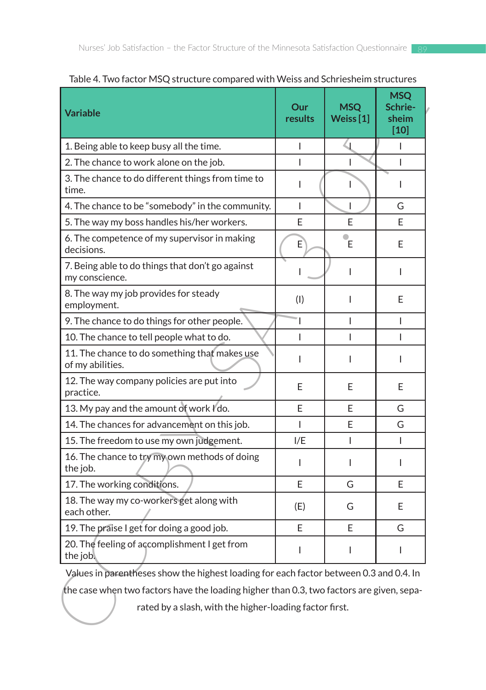| <b>Variable</b>                                                                                                                                     | Our<br>results | <b>MSQ</b><br>Weiss $[1]$ | <b>MSQ</b><br>Schrie-<br>sheim<br>[10] |
|-----------------------------------------------------------------------------------------------------------------------------------------------------|----------------|---------------------------|----------------------------------------|
| 1. Being able to keep busy all the time.                                                                                                            | I              | $\mathsf{Q}$              | L                                      |
| 2. The chance to work alone on the job.                                                                                                             | L              |                           | $\mathsf{I}$                           |
| 3. The chance to do different things from time to<br>time.                                                                                          | L              | $\mathsf{L}$              | L                                      |
| 4. The chance to be "somebody" in the community.                                                                                                    | L              | $\mathsf{I}$              | G                                      |
| 5. The way my boss handles his/her workers.                                                                                                         | E              | E                         | E                                      |
| 6. The competence of my supervisor in making<br>decisions.                                                                                          | E              | Έ                         | E                                      |
| 7. Being able to do things that don't go against<br>my conscience.                                                                                  | I              | I                         | L                                      |
| 8. The way my job provides for steady<br>employment.                                                                                                | (1)            | I                         | E                                      |
| 9. The chance to do things for other people.                                                                                                        | T              | L                         | L                                      |
| 10. The chance to tell people what to do.                                                                                                           | L              | L                         | L                                      |
| 11. The chance to do something that makes use<br>of my abilities.                                                                                   | L              | L                         | L                                      |
| 12. The way company policies are put into<br>practice.                                                                                              | E              | E                         | E                                      |
| 13. My pay and the amount of work I'do.                                                                                                             | E              | E                         | G                                      |
| 14. The chances for advancement on this job.                                                                                                        | L              | E                         | G                                      |
| 15. The freedom to use my own judgement.                                                                                                            | I/E            | L                         | L                                      |
| 16. The chance to try my own methods of doing<br>the job.                                                                                           | L              | L                         | L                                      |
| 17. The working conditions.                                                                                                                         | E              | G                         | E                                      |
| 18. The way my co-workers get along with<br>each other.                                                                                             | (E)            | G                         | E                                      |
| 19. The praise I get for doing a good job.                                                                                                          | F              | F                         | G                                      |
| 20. The feeling of accomplishment I get from<br>the job.                                                                                            | I              | L                         | I                                      |
| Values in parentheses show the highest loading for each factor between 0.3 and 0.4. In                                                              |                |                           |                                        |
| the case when two factors have the loading higher than 0.3, two factors are given, sepa-<br>rated by a slash, with the higher-loading factor first. |                |                           |                                        |

Table 4. Two factor MSQ structure compared with Weiss and Schriesheim structures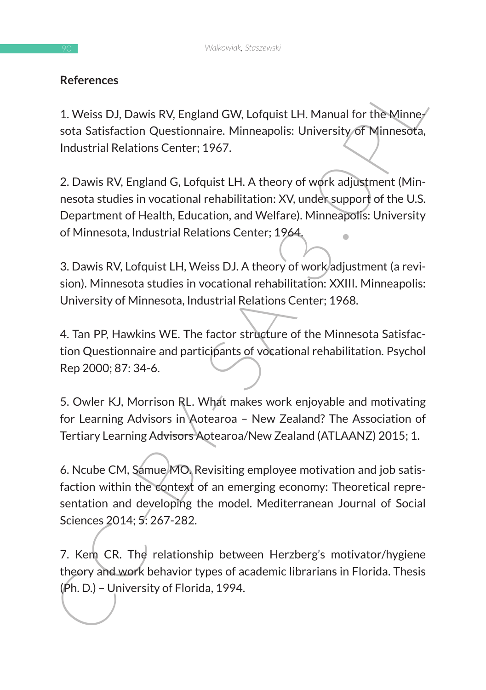### **References**

1. Weiss DJ, Dawis RV, England GW, Lofquist LH. Manual for the Minnesota Satisfaction Questionnaire. Minneapolis: University of Minnesota, Industrial Relations Center; 1967.

References<br>
1. Weiss DJ, Dawis RV, England GW, Lofquist LH. Manual for the Minney<br>
sota Satisfaction Questionnaire. Minneapolis: University of Minnesota,<br>
Industrial Relations Center; 1967.<br>
2. Dawis RV, England G, Lofquis 2. Dawis RV, England G, Lofquist LH. A theory of work adjustment (Minnesota studies in vocational rehabilitation: XV, under support of the U.S. Department of Health, Education, and Welfare). Minneapolis: University of Minnesota, Industrial Relations Center; 1964.

3. Dawis RV, Lofquist LH, Weiss DJ. A theory of work adjustment (a revision). Minnesota studies in vocational rehabilitation: XXIII. Minneapolis: University of Minnesota, Industrial Relations Center; 1968.

4. Tan PP, Hawkins WE. The factor structure of the Minnesota Satisfaction Questionnaire and participants of vocational rehabilitation. Psychol Rep 2000; 87: 34-6.

5. Owler KJ, Morrison RL. What makes work enjoyable and motivating for Learning Advisors in Aotearoa – New Zealand? The Association of Tertiary Learning Advisors Aotearoa/New Zealand (ATLAANZ) 2015; 1.

6. Ncube CM, Samue MO. Revisiting employee motivation and job satisfaction within the context of an emerging economy: Theoretical representation and developing the model. Mediterranean Journal of Social Sciences 2014; 5: 267-282.

7. Kem CR. The relationship between Herzberg's motivator/hygiene theory and work behavior types of academic librarians in Florida. Thesis (Ph. D.) – University of Florida, 1994.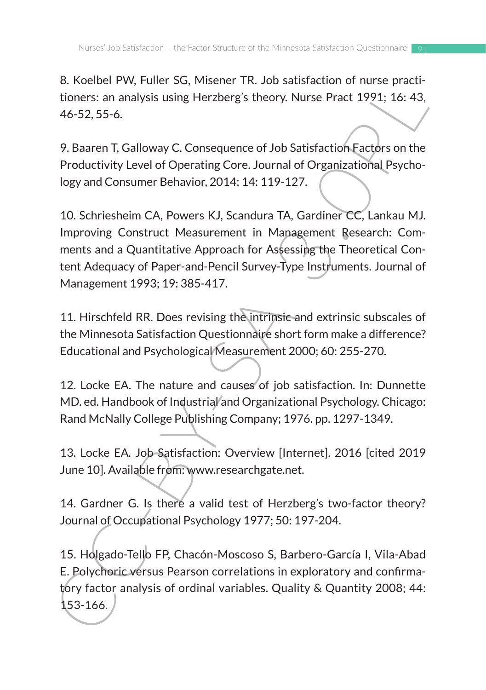8. Koelbel PW, Fuller SG, Misener TR. Job satisfaction of nurse practitioners: an analysis using Herzberg's theory. Nurse Pract 1991; 16: 43, 46-52, 55-6.

9. Baaren T, Galloway C. Consequence of Job Satisfaction Factors on the Productivity Level of Operating Core. Journal of Organizational Psychology and Consumer Behavior, 2014; 14: 119-127.

o. Noutier PV, trainer 3.1, Missier 1 rk. Job saltisation on Thube paralition<br>tioners: an analysis using Herzberg's theory. Nurse Pract 1991; 16: 43,<br>46-52, 55-6.<br>9. Baaren T, Galloway C. Consequence of Job Satisfaction Ea 10. Schriesheim CA, Powers KJ, Scandura TA, Gardiner CC, Lankau MJ. Improving Construct Measurement in Management Research: Comments and a Quantitative Approach for Assessing the Theoretical Content Adequacy of Paper-and-Pencil Survey-Type Instruments. Journal of Management 1993; 19: 385-417.

11. Hirschfeld RR. Does revising the intrinsic and extrinsic subscales of the Minnesota Satisfaction Questionnaire short form make a difference? Educational and Psychological Measurement 2000; 60: 255-270.

12. Locke EA. The nature and causes of job satisfaction. In: Dunnette MD. ed. Handbook of Industrial and Organizational Psychology. Chicago: Rand McNally College Publishing Company; 1976. pp. 1297-1349.

13. Locke EA. Job Satisfaction: Overview [Internet]. 2016 [cited 2019 June 10]. Available from: www.researchgate.net.

14. Gardner G. Is there a valid test of Herzberg's two-factor theory? Journal of Occupational Psychology 1977; 50: 197-204.

15. Holgado-Tello FP, Chacón-Moscoso S, Barbero-García I, Vila-Abad E. Polychoric versus Pearson correlations in exploratory and confirmatory factor analysis of ordinal variables. Quality & Quantity 2008; 44: 153-166.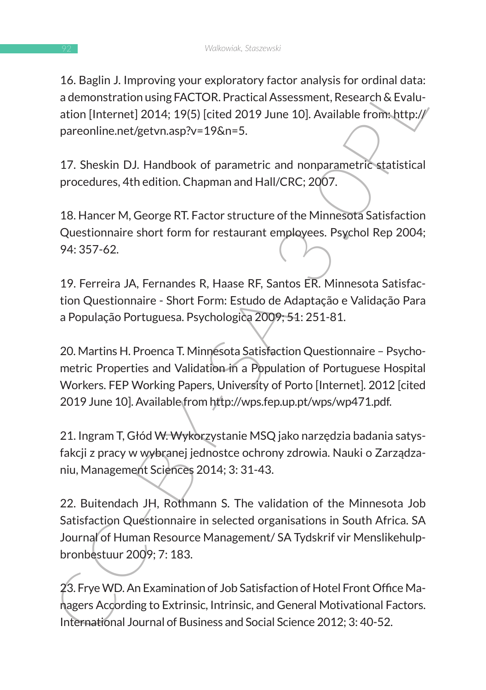16. Baglin J. Improving your exploratory factor analysis for ordinal data: a demonstration using FACTOR. Practical Assessment, Research & Evaluation [Internet] 2014; 19(5) [cited 2019 June 10]. Available from: http:// pareonline.net/getvn.asp?v=19&n=5.

17. Sheskin DJ. Handbook of parametric and nonparametric statistical procedures, 4th edition. Chapman and Hall/CRC; 2007.

18. Hancer M, George RT. Factor structure of the Minnesota Satisfaction Questionnaire short form for restaurant employees. Psychol Rep 2004; 94: 357-62.

19. Ferreira JA, Fernandes R, Haase RF, Santos ER. Minnesota Satisfaction Questionnaire - Short Form: Estudo de Adaptação e Validação Para a População Portuguesa. Psychologica 2009; 51: 251-81.

20. Martins H. Proenca T. Minnesota Satisfaction Questionnaire – Psychometric Properties and Validation in a Population of Portuguese Hospital Workers. FEP Working Papers, University of Porto [Internet]. 2012 [cited 2019 June 10]. Available from http://wps.fep.up.pt/wps/wp471.pdf.

21. Ingram T, Głód W. Wykorzystanie MSQ jako narzędzia badania satysfakcji z pracy w wybranej jednostce ochrony zdrowia. Nauki o Zarządzaniu, Management Sciences 2014; 3: 31-43.

1. Improving Vour explanary and the Minnesota<br>
ademonstration using FACTOR. Practical Assessment, Research & Evalu-<br>
ademonstration using FACTOR. Practical Assessment, Research & Evalu-<br>
ademonstration space of the SUS (ci 22. Buitendach JH, Rothmann S. The validation of the Minnesota Job Satisfaction Questionnaire in selected organisations in South Africa. SA Journal of Human Resource Management/ SA Tydskrif vir Menslikehulpbronbestuur 2009; 7: 183.

23. Frye WD. An Examination of Job Satisfaction of Hotel Front Office Managers According to Extrinsic, Intrinsic, and General Motivational Factors. International Journal of Business and Social Science 2012; 3: 40-52.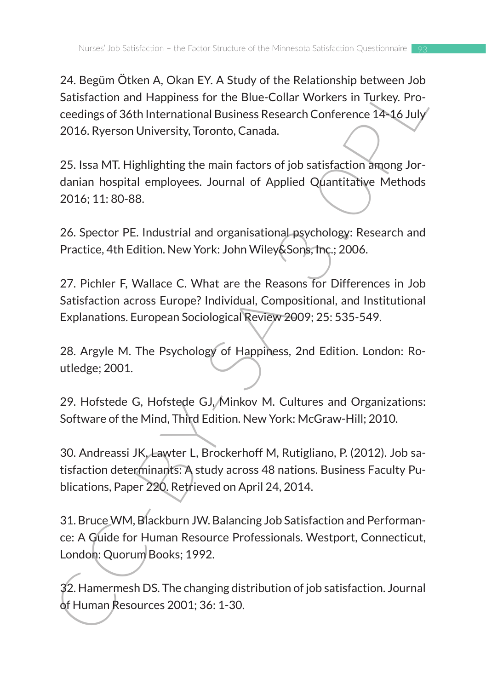2.4. Begun Unterl A, Usati Er. A study of the Relationship Detween Journal Statistaction and Happiness for the Blue-Collar Workers in Turkey. Proceedings of 36th International Business Research Conference 14-16 July 2016. 24. Begüm Ötken A, Okan EY. A Study of the Relationship between Job Satisfaction and Happiness for the Blue-Collar Workers in Turkey. Proceedings of 36th International Business Research Conference 14-16 July 2016. Ryerson University, Toronto, Canada.

25. Issa MT. Highlighting the main factors of job satisfaction among Jordanian hospital employees. Journal of Applied Quantitative Methods 2016; 11: 80-88.

26. Spector PE. Industrial and organisational psychology: Research and Practice, 4th Edition. New York: John Wiley&Sons, Inc.; 2006.

27. Pichler F, Wallace C. What are the Reasons for Differences in Job Satisfaction across Europe? Individual, Compositional, and Institutional Explanations. European Sociological Review 2009; 25: 535-549.

28. Argyle M. The Psychology of Happiness, 2nd Edition. London: Routledge; 2001.

29. Hofstede G, Hofstede GJ, Minkov M. Cultures and Organizations: Software of the Mind, Third Edition. New York: McGraw-Hill; 2010.

30. Andreassi JK, Lawter L, Brockerhoff M, Rutigliano, P. (2012). Job satisfaction determinants: A study across 48 nations. Business Faculty Publications, Paper 220. Retrieved on April 24, 2014.

31. Bruce WM, Blackburn JW. Balancing Job Satisfaction and Performance: A Guide for Human Resource Professionals. Westport, Connecticut, London: Quorum Books; 1992.

32. Hamermesh DS. The changing distribution of job satisfaction. Journal of Human Resources 2001; 36: 1-30.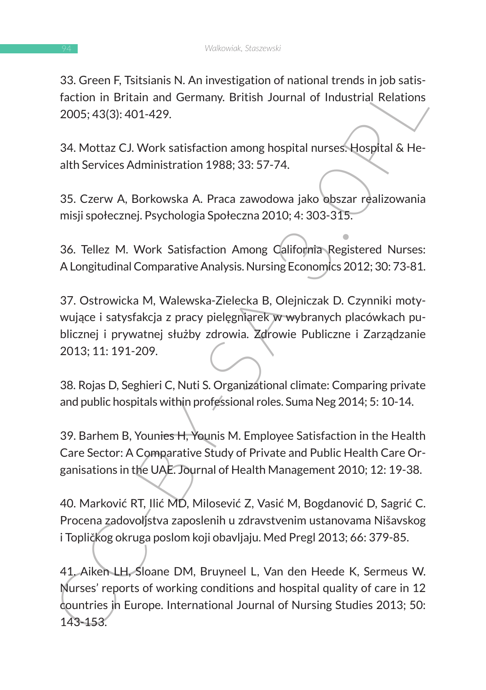33. Green F, Tsitsianis N. An investigation of national trends in job satisfaction in Britain and Germany. British Journal of Industrial Relations 2005; 43(3): 401-429.

34. Mottaz CJ. Work satisfaction among hospital nurses. Hospital & Health Services Administration 1988; 33: 57-74.

35. Czerw A, Borkowska A. Praca zawodowa jako obszar realizowania misji społecznej. Psychologia Społeczna 2010; 4: 303-315.

36. Tellez M. Work Satisfaction Among California Registered Nurses: A Longitudinal Comparative Analysis. Nursing Economics 2012; 30: 73-81.

37. Ostrowicka M, Walewska-Zielecka B, Olejniczak D. Czynniki motywujące i satysfakcja z pracy pielęgniarek w wybranych placówkach publicznej i prywatnej służby zdrowia. Zdrowie Publiczne i Zarządzanie 2013; 11: 191-209.

38. Rojas D, Seghieri C, Nuti S. Organizational climate: Comparing private and public hospitals within professional roles. Suma Neg 2014; 5: 10-14.

39. Barhem B, Younies H, Younis M. Employee Satisfaction in the Health Care Sector: A Comparative Study of Private and Public Health Care Organisations in the UAE. Journal of Health Management 2010; 12: 19-38.

40. Marković RT, Ilić MD, Milosević Z, Vasić M, Bogdanović D, Sagrić C. Procena zadovoljstva zaposlenih u zdravstvenim ustanovama Nišavskog i Topličkog okruga poslom koji obavljaju. Med Pregl 2013; 66: 379-85.

S. Geterr, Falsialis Nr. An investigation or national tentarial engines and factorin in Britain and Germany. British Journal of Industrial Relations<br>2005; 43(3): 401-429.<br>34. Mottaz CJ. Work satisfaction among hospital nur 41. Aiken LH, Sloane DM, Bruyneel L, Van den Heede K, Sermeus W. Nurses' reports of working conditions and hospital quality of care in 12 countries in Europe. International Journal of Nursing Studies 2013; 50: 143-153.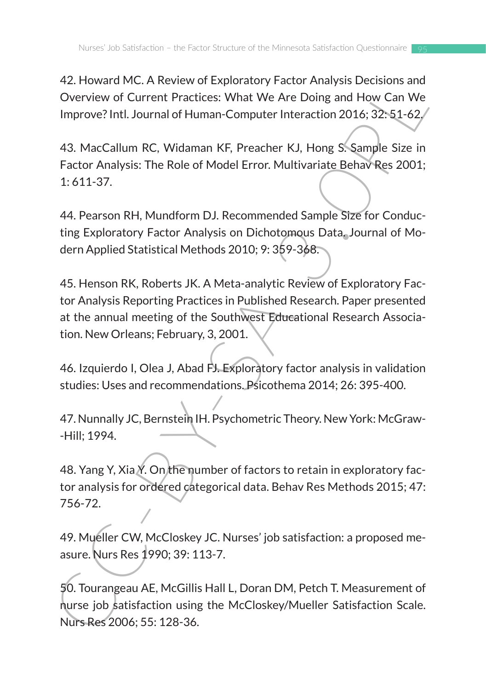42. Howard MC. A Review of Exploratory Factor Analysis Decisions and Overview of Current Practices: What We Are Doing and How Can We Improve? Intl. Journal of Human-Computer Interaction 2016; 32: 51-62.

43. MacCallum RC, Widaman KF, Preacher KJ, Hong S. Sample Size in Factor Analysis: The Role of Model Error. Multivariate Behav Res 2001; 1: 611-37.

44. Pearson RH, Mundform DJ. Recommended Sample Size for Conducting Exploratory Factor Analysis on Dichotomous Data. Journal of Modern Applied Statistical Methods 2010; 9: 359-368.

42. Howard over. A newtwork of Experimentations and How Can We Deverview of Current Practices: What We Are Doing and How Can We Improve? Intl. Journal of Human-Computer Interaction 2016; 32:51-62/<br>43. MacCallum RC, Widaman 45. Henson RK, Roberts JK. A Meta-analytic Review of Exploratory Factor Analysis Reporting Practices in Published Research. Paper presented at the annual meeting of the Southwest Educational Research Association. New Orleans; February, 3, 2001.

46. Izquierdo I, Olea J, Abad FJ. Exploratory factor analysis in validation studies: Uses and recommendations. Psicothema 2014; 26: 395-400.

47. Nunnally JC, Bernstein IH. Psychometric Theory. New York: McGraw- -Hill; 1994.

48. Yang Y, Xia Y. On the number of factors to retain in exploratory factor analysis for ordered categorical data. Behav Res Methods 2015; 47: 756-72.

49. Mueller CW, McCloskey JC. Nurses' job satisfaction: a proposed measure. Nurs Res 1990; 39: 113-7.

50. Tourangeau AE, McGillis Hall L, Doran DM, Petch T. Measurement of nurse job satisfaction using the McCloskey/Mueller Satisfaction Scale. Nurs Res 2006; 55: 128-36.